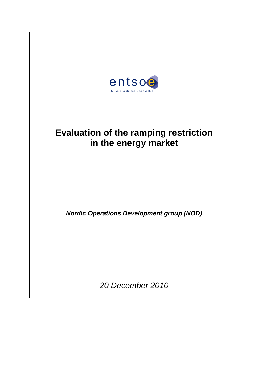

# **Evaluation of the ramping restriction in the energy market**

*Nordic Operations Development group (NOD)*

*20 December 2010*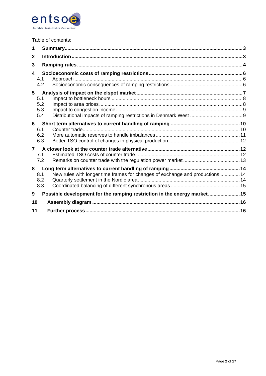

|  | Table of contents: |
|--|--------------------|
|--|--------------------|

| 2<br>3<br>4<br>4.1<br>4.2                                                            |  |
|--------------------------------------------------------------------------------------|--|
|                                                                                      |  |
|                                                                                      |  |
|                                                                                      |  |
|                                                                                      |  |
| 5                                                                                    |  |
| 5.1                                                                                  |  |
| 5.2                                                                                  |  |
| 5.3<br>5.4                                                                           |  |
| 6                                                                                    |  |
| 6.1                                                                                  |  |
| 6.2<br>6.3                                                                           |  |
| $\overline{7}$                                                                       |  |
| 7.1                                                                                  |  |
| 7.2                                                                                  |  |
| 8                                                                                    |  |
| New rules with longer time frames for changes of exchange and productions  14<br>8.1 |  |
| 8.2                                                                                  |  |
| 8.3                                                                                  |  |
| Possible development for the ramping restriction in the energy market15<br>9         |  |
| 10                                                                                   |  |
| 11                                                                                   |  |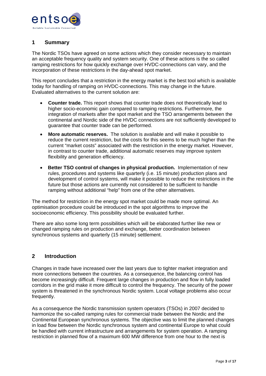

## <span id="page-2-0"></span>**1 Summary**

The Nordic TSOs have agreed on some actions which they consider necessary to maintain an acceptable frequency quality and system security. One of these actions is the so called ramping restrictions for how quickly exchange over HVDC-connections can vary, and the incorporation of these restrictions in the day-ahead spot market.

This report concludes that a restriction in the energy market is the best tool which is available today for handling of ramping on HVDC-connections. This may change in the future. Evaluated alternatives to the current solution are:

- **Counter trade.** This report shows that counter trade does not theoretically lead to higher socio-economic gain compared to ramping restrictions. Furthermore, the integration of markets after the spot market and the TSO arrangements between the continental and Nordic side of the HVDC connections are not sufficiently developed to guarantee that counter trade can be performed.
- **More automatic reserves.** The solution is available and will make it possible to reduce the current restriction, but the costs for this seems to be much higher than the current "market costs" associated with the restriction in the energy market. However, in contrast to counter trade, additional automatic reserves may improve system flexibility and generation efficiency.
- **Better TSO control of changes in physical production.** Implementation of new rules, procedures and systems like quarterly (i.e. 15 minute) production plans and development of control systems, will make it possible to reduce the restrictions in the future but those actions are currently not considered to be sufficient to handle ramping without additional "help" from one of the other alternatives.

The method for restriction in the energy spot market could be made more optimal. An optimisation procedure could be introduced in the spot algorithms to improve the socioeconomic efficiency. This possibility should be evaluated further.

There are also some long term possibilities which will be elaborated further like new or changed ramping rules on production and exchange, better coordination between synchronous systems and quarterly (15 minute) settlement.

#### <span id="page-2-1"></span>**2 Introduction**

Changes in trade have increased over the last years due to tighter market integration and more connections between the countries. As a consequence, the balancing control has become increasingly difficult. Frequent large changes in production and flow in fully loaded corridors in the grid make it more difficult to control the frequency. The security of the power system is threatened in the synchronous Nordic system. Local voltage problems also occur frequently.

As a consequence the Nordic transmission system operators (TSOs) in 2007 decided to harmonize the so-called ramping rules for commercial trade between the Nordic and the Continental European synchronous systems. The objective was to limit the planned changes in load flow between the Nordic synchronous system and continental Europe to what could be handled with current infrastructure and arrangements for system operation. A ramping restriction in planned flow of a maximum 600 MW difference from one hour to the next is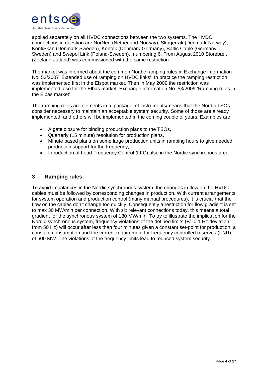

applied separately on all HVDC connections between the two systems. The HVDC connections in question are NorNed (Netherland-Norway), Skagerrak (Denmark-Norway), KontiSkan (Denmark-Sweden), Kontek (Denmark-Germany), Baltic Cable (Germany-Sweden) and Swepol Link (Poland-Sweden), numbering 6. From August 2010 Storebælt (Zeeland-Jutland) was commissioned with the same restriction.

The market was informed about the common Nordic ramping rules in Exchange information No. 53/2007 'Extended use of ramping on HVDC links'. In practice the ramping restriction was implemented first in the Elspot market. Then in May 2009 the restriction was implemented also for the Elbas market, Exchange information No. 53/2009 'Ramping rules in the Elbas market'.

The ramping rules are elements in a 'package' of instruments/means that the Nordic TSOs consider necessary to maintain an acceptable system security. Some of those are already implemented, and others will be implemented in the coming couple of years. Examples are:

- A gate closure for binding production plans to the TSOs,
- Quarterly (15 minute) resolution for production plans,
- Minute based plans on some large production units in ramping hours to give needed production support for the frequency,
- Introduction of Load Frequency Control (LFC) also in the Nordic synchronous area.

## <span id="page-3-0"></span>**3 Ramping rules**

To avoid imbalances in the Nordic synchronous system, the changes in flow on the HVDCcables must be followed by corresponding changes in production. With current arrangements for system operation and production control (many manual procedures), it is crucial that the flow on the cables don't change too quickly. Consequently a restriction for flow gradient is set to max 30 MW/min per connection. With six relevant connections today, this means a total gradient for the synchronous system of 180 MW/min. To try to illustrate the implication for the Nordic synchronous system, frequency violations of the defined limits (+/- 0.1 Hz deviation from 50 Hz) will occur after less than four minutes given a constant set-point for production, a constant consumption and the current requirement for frequency controlled reserves (FNR) of 600 MW. The violations of the frequency limits lead to reduced system security.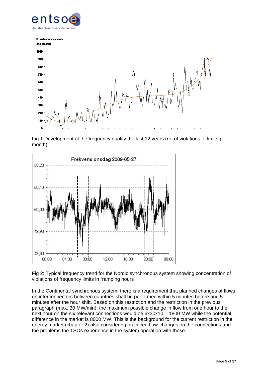



Fig.1 Development of the frequency quality the last 12 years (nr. of violations of limits pr. month)



Fig 2: Typical frequency trend for the Nordic synchronous system showing concentration of violations of frequency limits in "ramping hours".

In the Continental synchronous system, there is a requirement that planned changes of flows on interconnectors between countries shall be performed within 5 minutes before and 5 minutes after the hour shift. Based on this restriction and the restriction in the previous paragraph (max. 30 MW/min), the maximum possible change in flow from one hour to the next hour on the six relevant connections would be 6x30x10 = 1800 MW while the potential difference in the market is 8000 MW. This is the background for the current restriction in the energy market (chapter 2) also considering practiced flow-changes on the connections and the problems the TSOs experience in the system operation with those.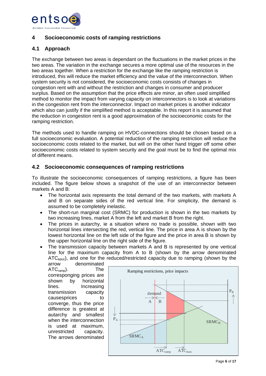

# <span id="page-5-0"></span>**4 Socioeconomic costs of ramping restrictions**

# <span id="page-5-1"></span>**4.1 Approach**

The exchange between two areas is dependant on the fluctuations in the market prices in the two areas. The variation in the exchange secures a more optimal use of the resources in the two areas together. When a restriction for the exchange like the ramping restriction is introduced, this will reduce the market efficiency and the value of the interconnection. When system security is not considered, the socioeconomic costs consists of changes in congestion rent with and without the restriction and changes in consumer and producer surplus. Based on the assumption that the price effects are minor, an often used simplified method to monitor the impact from varying capacity on interconnectors is to look at variations in the congestion rent from the interconnector. Impact on market prices is another indicator which also can justify if the simplified method is acceptable. In this report it is assumed that the reduction in congestion rent is a good approximation of the socioeconomic costs for the ramping restriction.

The methods used to handle ramping on HVDC-connections should be chosen based on a full socioeconomic evaluation. A potential reduction of the ramping restriction will reduce the socioeconomic costs related to the market, but will on the other hand trigger off some other socioeconomic costs related to system security and the goal must be to find the optimal mix of different means.

# <span id="page-5-2"></span>**4.2 Socioeconomic consequences of ramping restrictions**

To illustrate the socioeconomic consequences of ramping restrictions, a figure has been included. The figure below shows a snapshot of the use of an interconnector between markets A and B:

- The horizontal axis represents the total demand of the two markets, with markets A and B on separate sides of the red vertical line. For simplicity, the demand is assumed to be completely inelastic.
- The short-run marginal cost (SRMC) for production is shown in the two markets by two increasing lines, market A from the left and market B from the right.
- The prices in autarchy, ie a situation where no trade is possible, shown with two horizontal lines intersecting the red, vertical line. The price in area A is shown by the lowest horizontal line on the left side of the figure and the price in area B is shown by the upper horizontal line on the right side of the figure.
- The transmission capacity between markets A and B is represented by one vertical line for the maximum capacity from A to B (shown by the arrow denominated  $ATC<sub>MAX</sub>$ , and one for the reduced/restricted capacity due to ramping (shown by the arrow

denominated ATCramp). The corresponging prices are shown by horizontal lines. Increasing transmission capacity causesprices to converge, thus the price difference is greatest at autarchy and smallest when the interconnection is used at maximum, unrestricted capacity. The arrows denominated

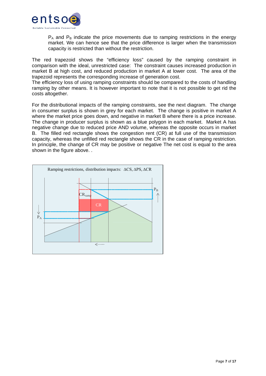

 $P_A$  and  $P_B$  indicate the price movements due to ramping restrictions in the energy market. We can hence see that the price difference is larger when the transmission capacity is restricted than without the restriction.

The red trapezoid shows the "efficiency loss" caused by the ramping constraint in comparison with the ideal, unrestricted case: The constraint causes increased production in market B at high cost, and reduced production in market A at lower cost. The area of the trapezoid represents the corresponding increase of generation cost.

The efficiency loss of using ramping constraints should be compared to the costs of handling ramping by other means. It is however important to note that it is not possible to get rid the costs altogether.

For the distributional impacts of the ramping constraints, see the next diagram. The change in consumer surplus is shown in grey for each market. The change is positive in market A where the market price goes down, and negative in market B where there is a price increase. The change in producer surplus is shown as a blue polygon in each market. Market A has negative change due to reduced price AND volume, whereas the opposite occurs in market B. The filled red rectangle shows the congestion rent (CR) at full use of the transmission capacity, whereas the unfilled red rectangle shows the CR in the case of ramping restriction. In principle, the change of CR may be positive or negative The net cost is equal to the area shown in the figure above...

<span id="page-6-0"></span>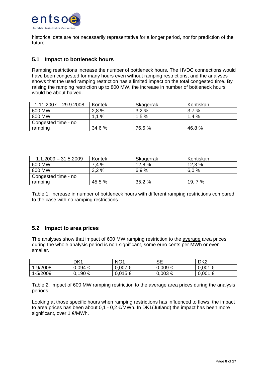

historical data are not necessarily representative for a longer period, nor for prediction of the future.

## <span id="page-7-0"></span>**5.1 Impact to bottleneck hours**

Ramping restrictions increase the number of bottleneck hours. The HVDC connections would have been congested for many hours even without ramping restrictions, and the analyses shows that the used ramping restriction has a limited impact on the total congested time. By raising the ramping restriction up to 800 MW, the increase in number of bottleneck hours would be about halved.

| $1.11.2007 - 29.9.2008$ | Kontek | Skagerrak | Kontiskan |
|-------------------------|--------|-----------|-----------|
| 600 MW                  | 2,8 %  | 3,2%      | 3,7%      |
| 800 MW                  | $.1\%$ | 1,5%      | 1.4%      |
| Congested time - no     |        |           |           |
| ramping                 | 34,6 % | 76,5 %    | 46,8 %    |

| $1.1.2009 - 31.5.2009$ | Kontek | Skagerrak | Kontiskan |
|------------------------|--------|-----------|-----------|
| 600 MW                 | 7,4%   | 12,8 %    | 12,3%     |
| 800 MW                 | 3.2%   | 6.9%      | 6.0%      |
| Congested time - no    |        |           |           |
| ramping                | 45,5 % | 35,2 %    | 19, 7 %   |

Table 1. Increase in number of bottleneck hours with different ramping restrictions compared to the case with no ramping restrictions

#### <span id="page-7-1"></span>**5.2 Impact to area prices**

The analyses show that impact of 600 MW ramping restriction to the average area prices during the whole analysis period is non-significant, some euro cents per MWh or even smaller.

|          | DK <sub>1</sub> | NO <sub>1</sub> | <b>SE</b>   | DK <sub>2</sub> |
|----------|-----------------|-----------------|-------------|-----------------|
| 1-9/2008 | $0.094 \in$     | $0,007 \in$     | $0.009 \in$ | $0,001 \in$     |
| 1-5/2009 | $0,190 \in$     | $0.015 \in$     | $0,003 \in$ | $0,001 \in$     |

Table 2. Impact of 600 MW ramping restriction to the average area prices during the analysis periods

Looking at those specific hours when ramping restrictions has influenced to flows, the impact to area prices has been about  $0.1 - 0.2 \in$ /MWh. In DK1(Jutland) the impact has been more significant, over 1 €/MWh.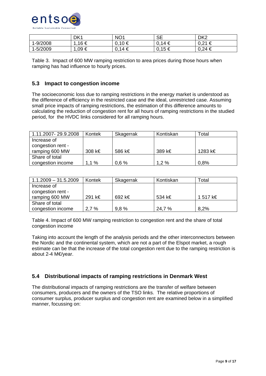

|          | DK1        | NO <sub>1</sub> | <b>SE</b> | DK <sub>2</sub>                           |
|----------|------------|-----------------|-----------|-------------------------------------------|
| -9/2008  | 16 €       | .10 €<br>U.     | 0,14€     | $0.21 \in$<br>∼<br>$\cup$ , $\sqsubset$ i |
| 1-5/2009 | $0.09 \in$ | .14 €<br>$0$ .  | 0,15€     | $0,24 \in$                                |

Table 3. Impact of 600 MW ramping restriction to area prices during those hours when ramping has had influence to hourly prices.

## <span id="page-8-0"></span>**5.3 Impact to congestion income**

The socioeconomic loss due to ramping restrictions in the energy market is understood as the difference of efficiency in the restricted case and the ideal, unrestricted case. Assuming small price impacts of ramping restrictions, the estimation of this difference amounts to calculating the reduction of congestion rent for all hours of ramping restrictions in the studied period, for the HVDC links considered for all ramping hours.

| 1.11.2007-29.9.2008 | Kontek | Skagerrak | Kontiskan | Total   |
|---------------------|--------|-----------|-----------|---------|
| Increase of         |        |           |           |         |
| congestion rent -   |        |           |           |         |
| ramping 600 MW      | 308 k€ | 586 k€    | 389 k€    | 1283 k€ |
| Share of total      |        |           |           |         |
| congestion income   | 1.1%   | 0,6%      | 1.2%      | 0,8%    |

| $1.1.2009 - 31.5.2009$ | Kontek | Skagerrak | Kontiskan | Total    |
|------------------------|--------|-----------|-----------|----------|
| Increase of            |        |           |           |          |
| congestion rent -      |        |           |           |          |
| ramping 600 MW         | 291 k€ | 692 k€    | 534 k€    | 1 517 k€ |
| Share of total         |        |           |           |          |
| congestion income      | 2,7%   | 9.8%      | 24,7 %    | 8.2%     |

Table 4. Impact of 600 MW ramping restriction to congestion rent and the share of total congestion income

Taking into account the length of the analysis periods and the other interconnectors between the Nordic and the continental system, which are not a part of the Elspot market, a rough estimate can be that the increase of the total congestion rent due to the ramping restriction is about 2-4 M€/year.

## <span id="page-8-1"></span>**5.4 Distributional impacts of ramping restrictions in Denmark West**

The distributional impacts of ramping restrictions are the transfer of welfare between consumers, producers and the owners of the TSO links. The relative proportions of consumer surplus, producer surplus and congestion rent are examined below in a simplified manner, focussing on: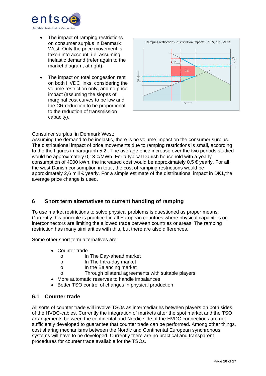

- The impact of ramping restrictions on consumer surplus in Denmark West. Only the price movement is taken into account, i.e. assuming inelastic demand (refer again to the market diagram, at right).
- The impact on total congestion rent on both HVDC links, considering the volume restriction only, and no price impact (assuming the slopes of marginal cost curves to be low and the CR reduction to be proportional to the reduction of transmission capacity).



Consumer surplus in Denmark West:

Assuming the demand to be inelastic, there is no volume impact on the consumer surplus. The distributional impact of price movements due to ramping restrictions is small, according to the the figures in paragrap[h 5.2](#page-7-1) . The average price increase over the two periods studied would be approximately 0,13 €/MWh. For a typical Danish household with a yearly consumption of 4000 kWh, the increased cost would be approximately  $0.5 \in \text{year}|y|$ . For all the west Danish consumption in total, the cost of ramping restrictions would be approximately 2,6 mill  $\epsilon$  yearly. For a simple estimate of the distributional impact in DK1, the average price change is used.

## <span id="page-9-0"></span>**6 Short term alternatives to current handling of ramping**

To use market restrictions to solve physical problems is questioned as proper means. Currently this principle is practiced in all European countries where physical capacities on interconnectors are limiting the allowed trade between countries or areas. The ramping restriction has many similarities with this, but there are also differences.

Some other short term alternatives are:

- Counter trade
	- o In The Day-ahead market
	- o In The Intra-day market
	- o In the Balancing market
	- o Through bilateral agreements with suitable players
- More automatic reserves to handle imbalances
- Better TSO control of changes in physical production

## <span id="page-9-1"></span>**6.1 Counter trade**

All sorts of counter trade will involve TSOs as intermediaries between players on both sides of the HVDC-cables. Currently the integration of markets after the spot market and the TSO arrangements between the continental and Nordic side of the HVDC connections are not sufficiently developed to guarantee that counter trade can be performed. Among other things, cost sharing mechanisms between the Nordic and Continental European synchronous systems will have to be developed. Currently there are no practical and transparent procedures for counter trade available for the TSOs.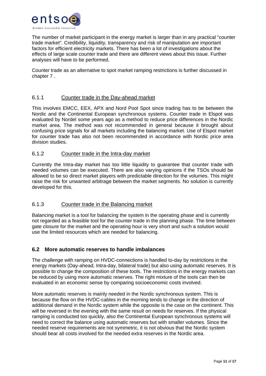

The number of market participant in the energy market is larger than in any practical "counter trade market". Credibility, liquidity, transparency and risk of manipulation are important factors for efficient electricity markets. There has been a lot of investigations about the effects of large scale counter trade and there are different views about this issue. Further analyses will have to be performed.

Counter trade as an alternative to spot market ramping restrictions is further discussed in chapte[r 7 .](#page-11-1)

## 6.1.1 Counter trade in the Day-ahead market

This involves EMCC, EEX, APX and Nord Pool Spot since trading has to be between the Nordic and the Continental European synchronous systems. Counter trade in Elspot was evaluated by Nordel some years ago as a method to reduce price differences in the Nordic market area. The method was not recommended in general because it brought about confusing price signals for all markets including the balancing market. Use of Elspot market for counter trade has also not been recommended in accordance with Nordic price area division studies.

#### 6.1.2 Counter trade in the Intra-day market

Currently the Intra-day market has too little liquidity to guarantee that counter trade with needed volumes can be executed. There are also varying opinions if the TSOs should be allowed to be so direct market players with predictable direction for the volumes. This might raise the risk for unwanted arbitrage between the market segments. No solution is currently developed for this.

#### 6.1.3 Counter trade in the Balancing market

Balancing market is a tool for balancing the system in the operating phase and is currently not regarded as a feasible tool for the counter trade in the planning phase. The time between gate closure for the market and the operating hour is very short and such a solution would use the limited resources which are needed for balancing.

## <span id="page-10-0"></span>**6.2 More automatic reserves to handle imbalances**

The challenge with ramping on HVDC-connections is handled to-day by restrictions in the energy markets (Day-ahead, Intra-day, bilateral trade) but also using automatic reserves. It is possible to change the composition of these tools. The restrictions in the energy markets can be reduced by using more automatic reserves. The right mixture of the tools can then be evaluated in an economic sense by comparing socioeconomic costs involved.

More automatic reserves is mainly needed in the Nordic synchronous system. This is because the flow on the HVDC-cables in the morning tends to change in the direction of additional demand in the Nordic system while the opposite is the case on the continent. This will be reversed in the evening with the same result on needs for reserves. If the physical ramping is conducted too quickly, also the Continental European synchronous systems will need to correct the balance using automatic reserves but with smaller volumes. Since the needed reserve requirements are not symmetric, it is not obvious that the Nordic system should bear all costs involved for the needed extra reserves in the Nordic area.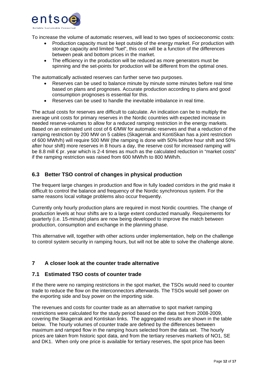

To increase the volume of automatic reserves, will lead to two types of socioeconomic costs:

- Production capacity must be kept outside of the energy market. For production with storage capacity and limited "fuel", this cost will be a function of the differences between peak and bottom prices in the market.
- The efficiency in the production will be reduced as more generators must be spinning and the set-points for production will be different from the optimal ones.

The automatically activated reserves can further serve two purposes.

- Reserves can be used to balance minute by minute some minutes before real time based on plans and prognoses. Accurate production according to plans and good consumption prognoses is essential for this.
- Reserves can be used to handle the inevitable imbalance in real time.

The actual costs for reserves are difficult to calculate. An indication can be to multiply the average unit costs for primary reserves in the Nordic countries with expected increase in needed reserve-volumes to allow for a reduced ramping restriction in the energy markets. Based on an estimated unit cost of  $\epsilon$  MW for automatic reserves and that a reduction of the ramping restriction by 200 MW on 5 cables (Skagerrak and KontiSkan has a joint restriction of 600 MWh/h) will require 500 MW (the ramping is done with 50% before hour shift and 50% after hour shift) more reserves in 8 hours a day, the reserve cost for increased ramping will be 8.8 mill € pr. year which is 2-4 times as much as the calculated reduction in "market costs" if the ramping restriction was raised from 600 MWh/h to 800 MWh/h.

# <span id="page-11-0"></span>**6.3 Better TSO control of changes in physical production**

The frequent large changes in production and flow in fully loaded corridors in the grid make it difficult to control the balance and frequency of the Nordic synchronous system. For the same reasons local voltage problems also occur frequently.

Currently only hourly production plans are required in most Nordic countries. The change of production levels at hour shifts are to a large extent conducted manually. Requirements for quarterly (i.e. 15-minute) plans are now being developed to improve the match between production, consumption and exchange in the planning phase.

This alternative will, together with other actions under implementation, help on the challenge to control system security in ramping hours, but will not be able to solve the challenge alone.

## <span id="page-11-1"></span>**7 A closer look at the counter trade alternative**

#### <span id="page-11-2"></span>**7.1 Estimated TSO costs of counter trade**

If the there were no ramping restrictions in the spot market, the TSOs would need to counter trade to reduce the flow on the interconnectors afterwards. The TSOs would sell power on the exporting side and buy power on the importing side.

The revenues and costs for counter trade as an alternative to spot market ramping restrictions were calculated for the study period based on the data set from 2008-2009, covering the Skagerrak and Kontiskan links. The aggregated results are shown in the table below. The hourly volumes of counter trade are defined by the differences between maximum and ramped flow in the ramping hours selected from the data set. The hourly prices are taken from historic spot data, and from the tertiary reserves markets of NO1, SE and DK1. When only one price is available for tertiary reserves, the spot price has been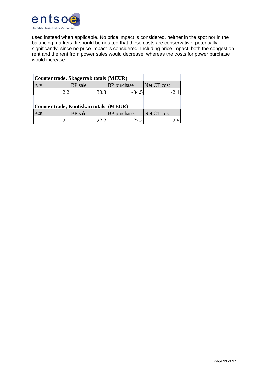

used instead when applicable. No price impact is considered, neither in the spot nor in the balancing markets. It should be notated that these costs are conservative, potentially significantly, since no price impact is considered. Including price impact, both the congestion rent and the rent from power sales would decrease, whereas the costs for power purchase would increase.

<span id="page-12-0"></span>

| Counter trade, Skagerrak totals (MEUR) |                                        |             |             |  |  |  |
|----------------------------------------|----------------------------------------|-------------|-------------|--|--|--|
| $\Lambda$ CR                           | BP sale                                | BP purchase | Net CT cost |  |  |  |
|                                        | 30.3                                   | $-34.5$     |             |  |  |  |
|                                        |                                        |             |             |  |  |  |
|                                        | Counter trade, Kontiskan totals (MEUR) |             |             |  |  |  |
| $\triangle$ CR                         | BP sale                                | BP purchase | Net CT cost |  |  |  |
|                                        |                                        | $-272$      |             |  |  |  |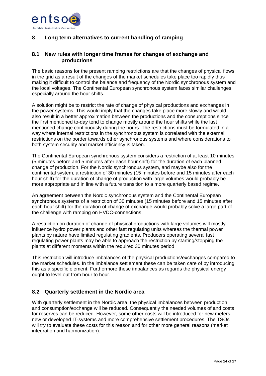

# <span id="page-13-0"></span>**8 Long term alternatives to current handling of ramping**

## <span id="page-13-1"></span>**8.1 New rules with longer time frames for changes of exchange and productions**

The basic reasons for the present ramping restrictions are that the changes of physical flows in the grid as a result of the changes of the market schedules take place too rapidly thus making it difficult to control the balance and frequency of the Nordic synchronous system and the local voltages. The Continental European synchronous system faces similar challenges especially around the hour shifts.

A solution might be to restrict the rate of change of physical productions and exchanges in the power systems. This would imply that the changes take place more slowly and would also result in a better approximation between the productions and the consumptions since the first mentioned to-day tend to change mostly around the hour shifts while the last mentioned change continuously during the hours. The restrictions must be formulated in a way where internal restrictions in the synchronous system is correlated with the external restrictions on the border towards other synchronous systems and where considerations to both system security and market efficiency is taken.

The Continental European synchronous system considers a restriction of at least 10 minutes (5 minutes before and 5 minutes after each hour shift) for the duration of each planned change of production. For the Nordic synchronous system, and maybe also for the continental system, a restriction of 30 minutes (15 minutes before and 15 minutes after each hour shift) for the duration of change of production with large volumes would probably be more appropriate and in line with a future transition to a more quarterly based regime.

An agreement between the Nordic synchronous system and the Continental European synchronous systems of a restriction of 30 minutes (15 minutes before and 15 minutes after each hour shift) for the duration of change of exchange would probably solve a large part of the challenge with ramping on HVDC-connections.

A restriction on duration of change of physical productions with large volumes will mostly influence hydro power plants and other fast regulating units whereas the thermal power plants by nature have limited regulating gradients. Producers operating several fast regulating power plants may be able to approach the restriction by starting/stopping the plants at different moments within the required 30 minutes period.

This restriction will introduce imbalances of the physical productions/exchanges compared to the market schedules. In the imbalance settlement these can be taken care of by introducing this as a specific element. Furthermore these imbalances as regards the physical energy ought to level out from hour to hour.

## <span id="page-13-2"></span>**8.2 Quarterly settlement in the Nordic area**

With quarterly settlement in the Nordic area, the physical imbalances between production and consumption/exchange will be reduced. Consequently the needed volumes of and costs for reserves can be reduced. However, some other costs will be introduced for new meters, new or developed IT-systems and more comprehensive settlement procedures. The TSOs will try to evaluate these costs for this reason and for other more general reasons (market integration and harmonization).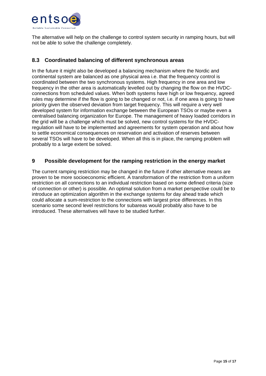

The alternative will help on the challenge to control system security in ramping hours, but will not be able to solve the challenge completely.

## <span id="page-14-0"></span>**8.3 Coordinated balancing of different synchronous areas**

In the future it might also be developed a balancing mechanism where the Nordic and continental system are balanced as one physical area i.e. that the frequency control is coordinated between the two synchronous systems. High frequency in one area and low frequency in the other area is automatically levelled out by changing the flow on the HVDCconnections from scheduled values. When both systems have high or low frequency, agreed rules may determine if the flow is going to be changed or not, i.e. if one area is going to have priority given the observed deviation from target frequency. This will require a very well developed system for information exchange between the European TSOs or maybe even a centralised balancing organization for Europe. The management of heavy loaded corridors in the grid will be a challenge which must be solved, new control systems for the HVDCregulation will have to be implemented and agreements for system operation and about how to settle economical consequences on reservation and activation of reserves between several TSOs will have to be developed. When all this is in place, the ramping problem will probably to a large extent be solved.

#### <span id="page-14-1"></span>**9 Possible development for the ramping restriction in the energy market**

The current ramping restriction may be changed in the future if other alternative means are proven to be more socioeconomic efficient. A transformation of the restriction from a uniform restriction on all connections to an individual restriction based on some defined criteria (size of connection or other) is possible. An optimal solution from a market perspective could be to introduce an optimization algorithm in the exchange systems for day ahead trade which could allocate a sum-restriction to the connections with largest price differences. In this scenario some second level restrictions for subareas would probably also have to be introduced. These alternatives will have to be studied further.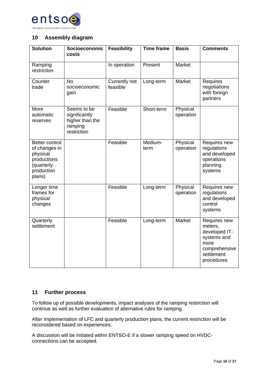

## <span id="page-15-0"></span>**10 Assembly diagram**

| <b>Solution</b>                                                                                  | Socioeconomic<br>costs                                                    | <b>Feasibility</b>        | <b>Time frame</b> | <b>Basis</b>          | <b>Comments</b>                                                                                              |
|--------------------------------------------------------------------------------------------------|---------------------------------------------------------------------------|---------------------------|-------------------|-----------------------|--------------------------------------------------------------------------------------------------------------|
| Ramping<br>restriction                                                                           |                                                                           | In operation              | Present           | Market                |                                                                                                              |
| Counter<br>trade                                                                                 | <b>No</b><br>socioeconomic<br>gain                                        | Currently not<br>feasible | Long-term         | Market                | Requires<br>negotiations<br>with foreign<br>partners                                                         |
| More<br>automatic<br>reserves                                                                    | Seems to be<br>significantly<br>higher than the<br>ramping<br>restriction | Feasible                  | Short-term        | Physical<br>operation |                                                                                                              |
| Better control<br>of changes in<br>physical<br>productions<br>(quarterly<br>production<br>plans) |                                                                           | Feasible                  | Medium-<br>term   | Physical<br>operation | Requires new<br>regulations<br>and developed<br>operations<br>planning<br>systems                            |
| Longer time<br>frames for<br>physical<br>changes                                                 |                                                                           | Feasible                  | Long-term         | Physical<br>operation | Requires new<br>regulations<br>and developed<br>control<br>systems                                           |
| Quarterly<br>settlement                                                                          |                                                                           | Feasible                  | Long-term         | Market                | Requires new<br>meters,<br>developed IT-<br>systems and<br>more<br>comprehensive<br>settlement<br>procedures |

## <span id="page-15-1"></span>**11 Further process**

To follow up of possible developments, impact analyses of the ramping restriction will continue as well as further evaluation of alternative rules for ramping.

After implementation of LFC and quarterly production plans, the current restriction will be reconsidered based on experiences.

A discussion will be initiated within ENTSO-E if a slower ramping speed on HVDCconnections can be accepted.